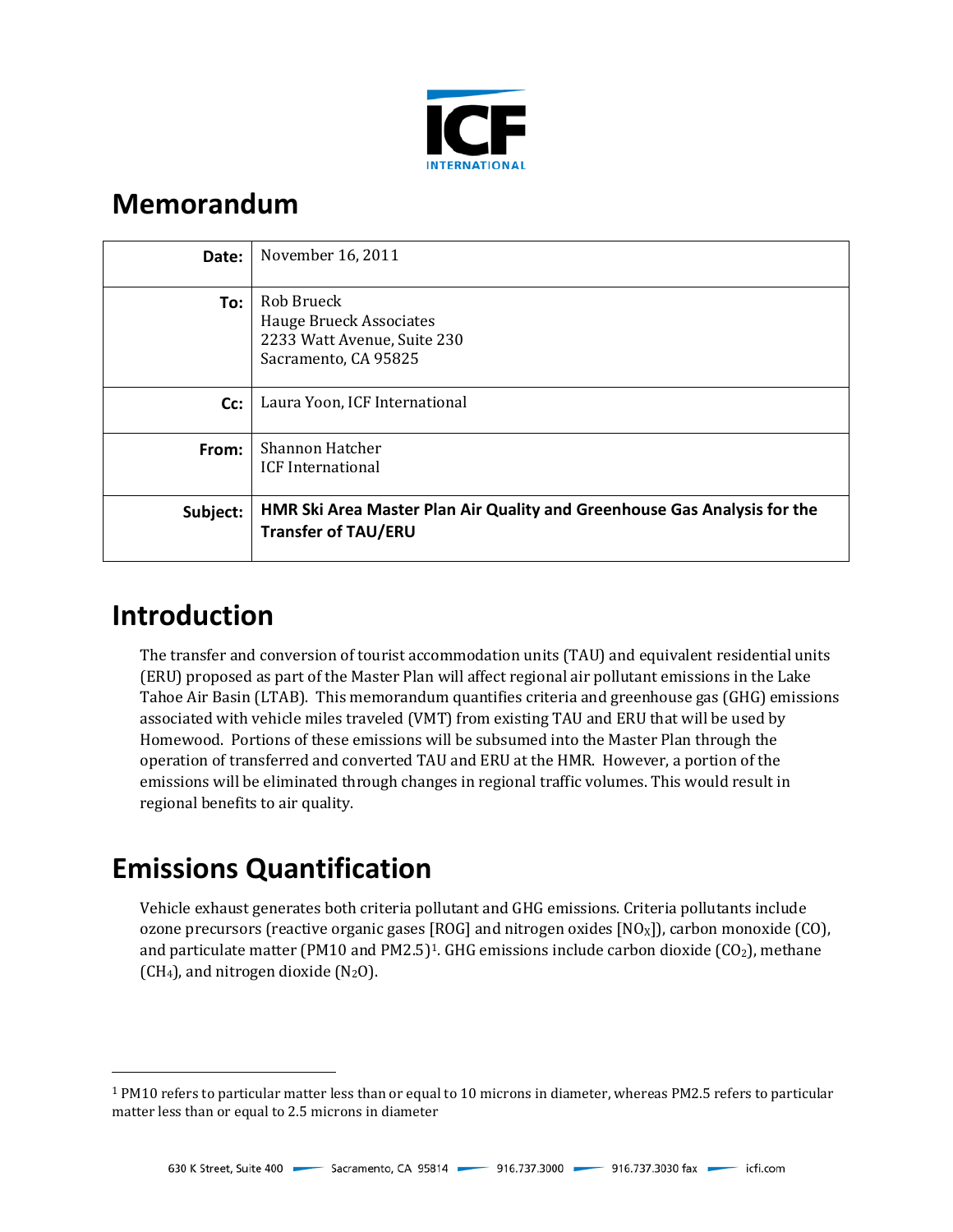

# **Memorandum**

| Date:    | November 16, 2011                                                                                      |
|----------|--------------------------------------------------------------------------------------------------------|
| To:      | Rob Brueck<br><b>Hauge Brueck Associates</b><br>2233 Watt Avenue, Suite 230<br>Sacramento, CA 95825    |
| Cc:      | Laura Yoon, ICF International                                                                          |
| From:    | Shannon Hatcher<br><b>ICF</b> International                                                            |
| Subject: | HMR Ski Area Master Plan Air Quality and Greenhouse Gas Analysis for the<br><b>Transfer of TAU/ERU</b> |

# **Introduction**

I

The transfer and conversion of tourist accommodation units (TAU) and equivalent residential units (ERU) proposed as part of the Master Plan will affect regional air pollutant emissions in the Lake Tahoe Air Basin (LTAB). This memorandum quantifies criteria and greenhouse gas (GHG) emissions associated with vehicle miles traveled (VMT) from existing TAU and ERU that will be used by Homewood. Portions of these emissions will be subsumed into the Master Plan through the operation of transferred and converted TAU and ERU at the HMR. However, a portion of the emissions will be eliminated through changes in regional traffic volumes. This would result in regional benefits to air quality.

# **Emissions Quantification**

Vehicle exhaust generates both criteria pollutant and GHG emissions. Criteria pollutants include ozone precursors (reactive organic gases [ROG] and nitrogen oxides  $[NO<sub>X</sub>]]$ , carbon monoxide (CO), and particulate matter (PM10 and PM2.5)<sup>1</sup>. GHG emissions include carbon dioxide (CO<sub>2</sub>), methane  $(CH<sub>4</sub>)$ , and nitrogen dioxide  $(N<sub>2</sub>O)$ .

<span id="page-0-0"></span><sup>1</sup> PM10 refers to particular matter less than or equal to 10 microns in diameter, whereas PM2.5 refers to particular matter less than or equal to 2.5 microns in diameter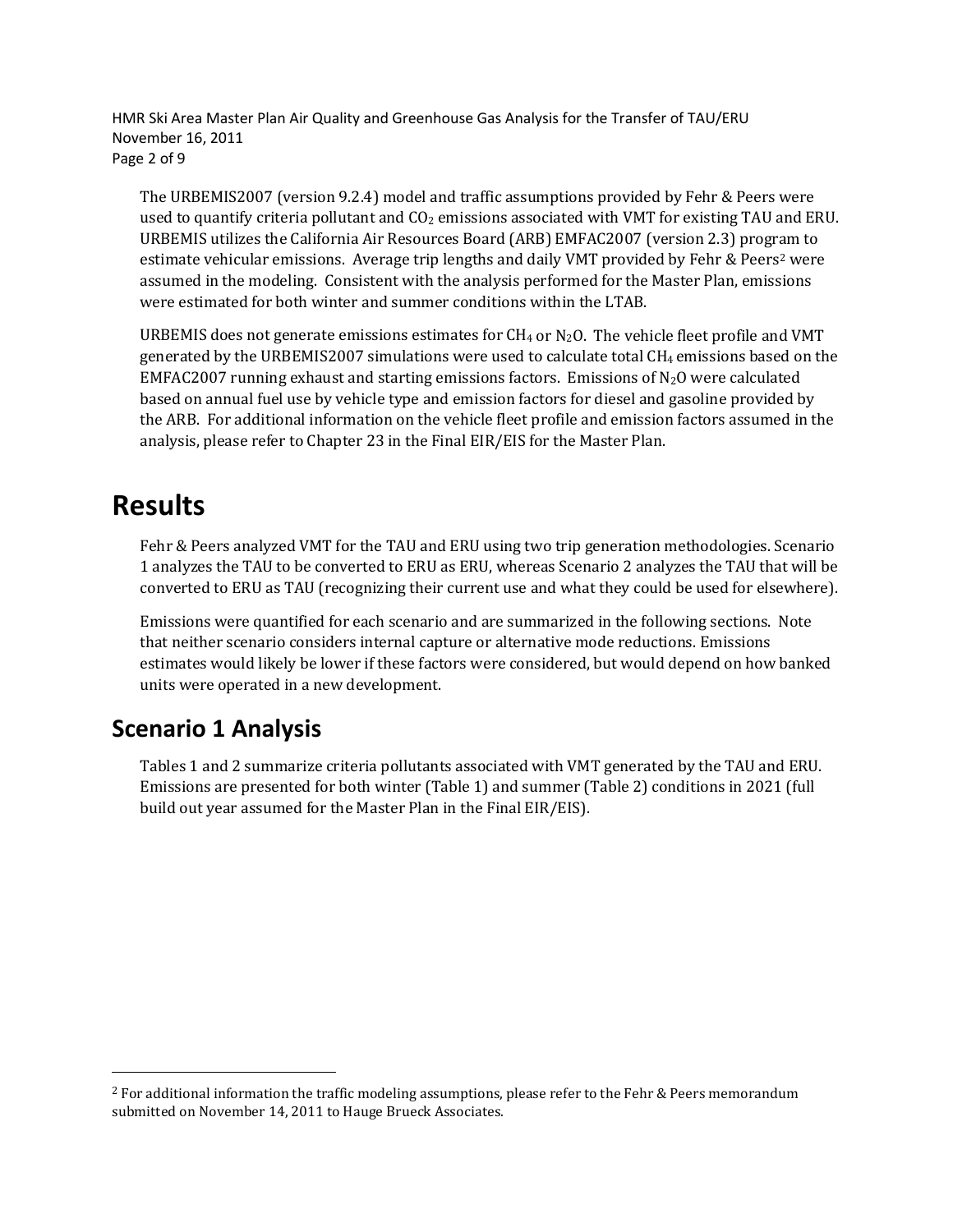HMR Ski Area Master Plan Air Quality and Greenhouse Gas Analysis for the Transfer of TAU/ERU November 16, 2011 Page 2 of 9

The URBEMIS2007 (version 9.2.4) model and traffic assumptions provided by Fehr & Peers were used to quantify criteria pollutant and  $CO<sub>2</sub>$  emissions associated with VMT for existing TAU and ERU. URBEMIS utilizes the California Air Resources Board (ARB) EMFAC2007 (version 2.3) program to estimate vehicular emissions. Average trip lengths and daily VMT provided by Fehr & Peers<sup>2</sup> were assumed in the modeling. Consistent with the analysis performed for the Master Plan, emissions were estimated for both winter and summer conditions within the LTAB.

URBEMIS does not generate emissions estimates for  $CH_4$  or  $N_2O$ . The vehicle fleet profile and VMT generated by the URBEMIS2007 simulations were used to calculate total  $CH_4$  emissions based on the EMFAC2007 running exhaust and starting emissions factors. Emissions of N2O were calculated based on annual fuel use by vehicle type and emission factors for diesel and gasoline provided by the ARB. For additional information on the vehicle fleet profile and emission factors assumed in the analysis, please refer to Chapter 23 in the Final EIR/EIS for the Master Plan.

## **Results**

I

Fehr & Peers analyzed VMT for the TAU and ERU using two trip generation methodologies. Scenario 1 analyzes the TAU to be converted to ERU as ERU, whereas Scenario 2 analyzes the TAU that will be converted to ERU as TAU (recognizing their current use and what they could be used for elsewhere).

Emissions were quantified for each scenario and are summarized in the following sections. Note that neither scenario considers internal capture or alternative mode reductions. Emissions estimates would likely be lower if these factors were considered, but would depend on how banked units were operated in a new development.

### **Scenario 1 Analysis**

Tables 1 and 2 summarize criteria pollutants associated with VMT generated by the TAU and ERU. Emissions are presented for both winter (Table 1) and summer (Table 2) conditions in 2021 (full build out year assumed for the Master Plan in the Final EIR/EIS).

<span id="page-1-0"></span><sup>&</sup>lt;sup>2</sup> For additional information the traffic modeling assumptions, please refer to the Fehr & Peers memorandum submitted on November 14, 2011 to Hauge Brueck Associates.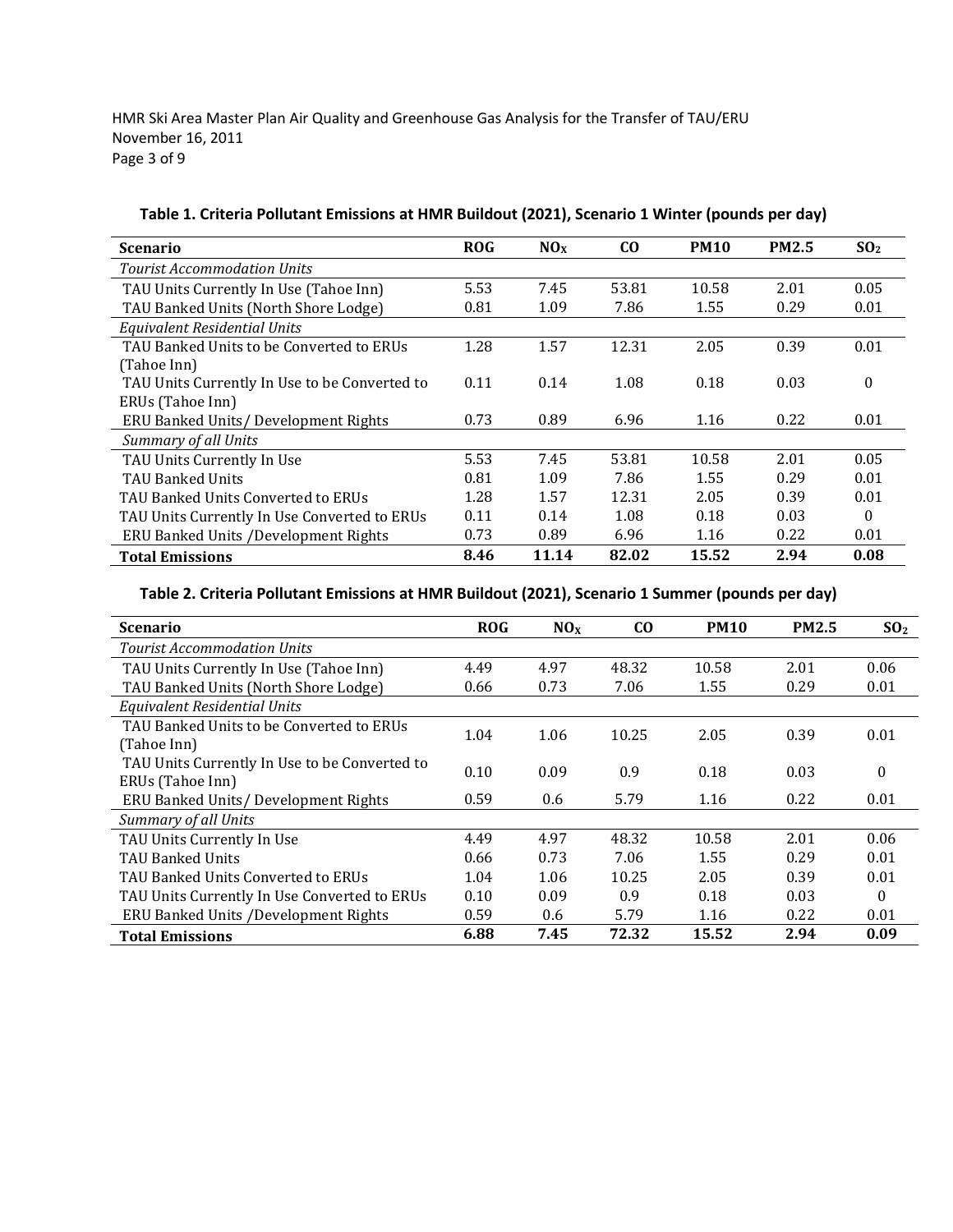HMR Ski Area Master Plan Air Quality and Greenhouse Gas Analysis for the Transfer of TAU/ERU November 16, 2011 Page 3 of 9

| <b>Scenario</b>                               | <b>ROG</b> | NO <sub>x</sub> | $\bf{C0}$ | <b>PM10</b> | <b>PM2.5</b> | SO <sub>2</sub> |
|-----------------------------------------------|------------|-----------------|-----------|-------------|--------------|-----------------|
| <b>Tourist Accommodation Units</b>            |            |                 |           |             |              |                 |
| TAU Units Currently In Use (Tahoe Inn)        | 5.53       | 7.45            | 53.81     | 10.58       | 2.01         | 0.05            |
| TAU Banked Units (North Shore Lodge)          | 0.81       | 1.09            | 7.86      | 1.55        | 0.29         | 0.01            |
| Equivalent Residential Units                  |            |                 |           |             |              |                 |
| TAU Banked Units to be Converted to ERUs      | 1.28       | 1.57            | 12.31     | 2.05        | 0.39         | 0.01            |
| (Tahoe Inn)                                   |            |                 |           |             |              |                 |
| TAU Units Currently In Use to be Converted to | 0.11       | 0.14            | 1.08      | 0.18        | 0.03         | 0               |
| ERUs (Tahoe Inn)                              |            |                 |           |             |              |                 |
| ERU Banked Units/ Development Rights          | 0.73       | 0.89            | 6.96      | 1.16        | 0.22         | 0.01            |
| Summary of all Units                          |            |                 |           |             |              |                 |
| TAU Units Currently In Use                    | 5.53       | 7.45            | 53.81     | 10.58       | 2.01         | 0.05            |
| TAU Banked Units                              | 0.81       | 1.09            | 7.86      | 1.55        | 0.29         | 0.01            |
| TAU Banked Units Converted to ERUs            | 1.28       | 1.57            | 12.31     | 2.05        | 0.39         | 0.01            |
| TAU Units Currently In Use Converted to ERUs  | 0.11       | 0.14            | 1.08      | 0.18        | 0.03         | 0               |
| <b>ERU Banked Units /Development Rights</b>   | 0.73       | 0.89            | 6.96      | 1.16        | 0.22         | 0.01            |
| <b>Total Emissions</b>                        | 8.46       | 11.14           | 82.02     | 15.52       | 2.94         | 0.08            |

**Table 1. Criteria Pollutant Emissions at HMR Buildout (2021), Scenario 1 Winter (pounds per day)**

### **Table 2. Criteria Pollutant Emissions at HMR Buildout (2021), Scenario 1 Summer (pounds per day)**

| <b>Scenario</b>                                                   | <b>ROG</b> | NO <sub>X</sub> | C <sub>O</sub> | <b>PM10</b> | <b>PM2.5</b> | SO <sub>2</sub> |
|-------------------------------------------------------------------|------------|-----------------|----------------|-------------|--------------|-----------------|
| Tourist Accommodation Units                                       |            |                 |                |             |              |                 |
| TAU Units Currently In Use (Tahoe Inn)                            | 4.49       | 4.97            | 48.32          | 10.58       | 2.01         | 0.06            |
| TAU Banked Units (North Shore Lodge)                              | 0.66       | 0.73            | 7.06           | 1.55        | 0.29         | 0.01            |
| Equivalent Residential Units                                      |            |                 |                |             |              |                 |
| TAU Banked Units to be Converted to ERUs<br>(Tahoe Inn)           | 1.04       | 1.06            | 10.25          | 2.05        | 0.39         | 0.01            |
| TAU Units Currently In Use to be Converted to<br>ERUs (Tahoe Inn) | 0.10       | 0.09            | 0.9            | 0.18        | 0.03         | $\Omega$        |
| ERU Banked Units/ Development Rights                              | 0.59       | 0.6             | 5.79           | 1.16        | 0.22         | 0.01            |
| Summary of all Units                                              |            |                 |                |             |              |                 |
| TAU Units Currently In Use                                        | 4.49       | 4.97            | 48.32          | 10.58       | 2.01         | 0.06            |
| <b>TAU Banked Units</b>                                           | 0.66       | 0.73            | 7.06           | 1.55        | 0.29         | 0.01            |
| TAU Banked Units Converted to ERUs                                | 1.04       | 1.06            | 10.25          | 2.05        | 0.39         | 0.01            |
| TAU Units Currently In Use Converted to ERUs                      | 0.10       | 0.09            | 0.9            | 0.18        | 0.03         | $\Omega$        |
| ERU Banked Units /Development Rights                              | 0.59       | 0.6             | 5.79           | 1.16        | 0.22         | 0.01            |
| <b>Total Emissions</b>                                            | 6.88       | 7.45            | 72.32          | 15.52       | 2.94         | 0.09            |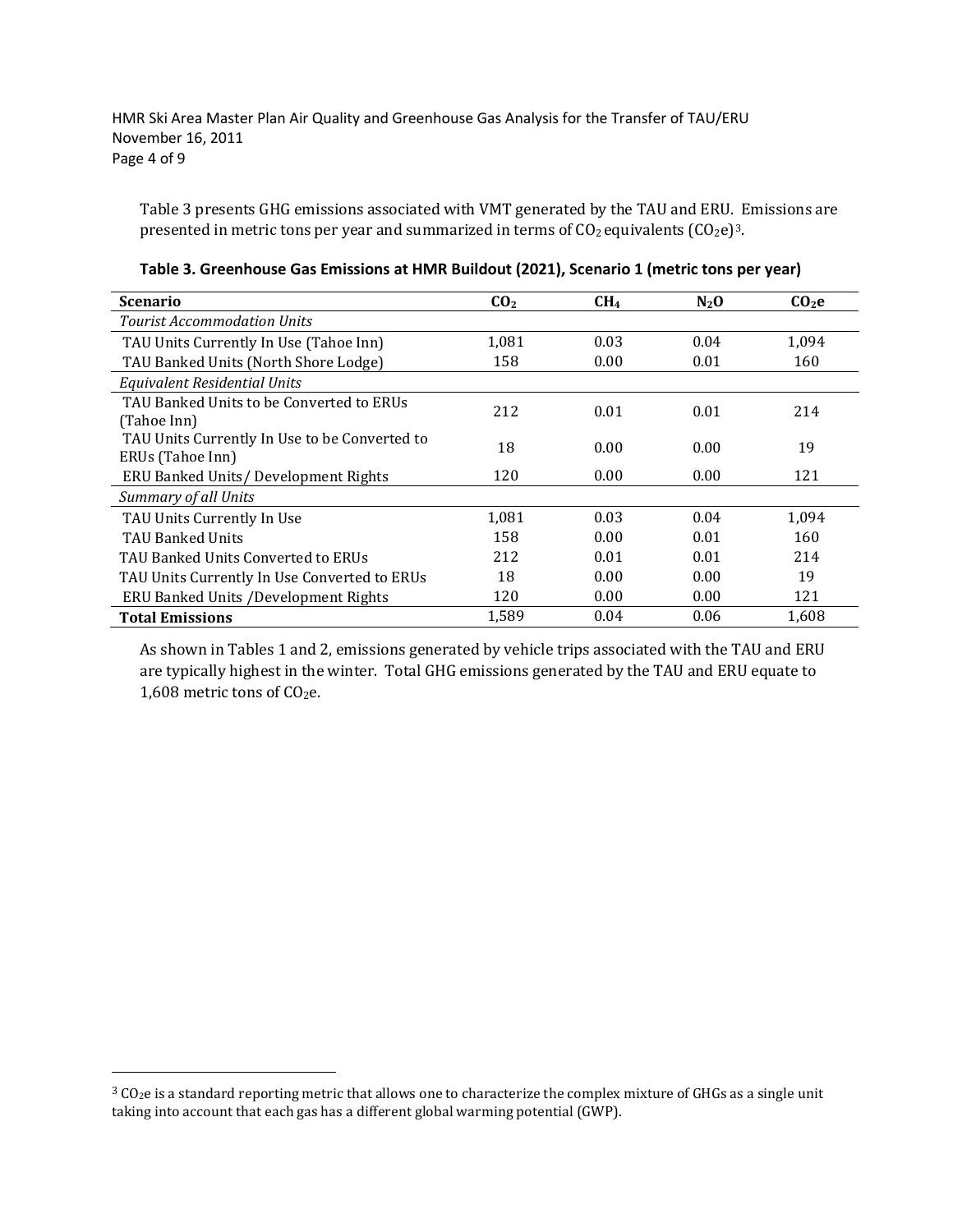HMR Ski Area Master Plan Air Quality and Greenhouse Gas Analysis for the Transfer of TAU/ERU November 16, 2011 Page 4 of 9

Table 3 presents GHG emissions associated with VMT generated by the TAU and ERU. Emissions are presented in metric tons per year and summarized in terms of  $CO<sub>2</sub>$  equivalents  $(CO<sub>2</sub>e)<sup>3</sup>$ .

| <b>Scenario</b>                                                   | CO <sub>2</sub> | CH <sub>4</sub> | $N_2$ O | CO <sub>2</sub> e |
|-------------------------------------------------------------------|-----------------|-----------------|---------|-------------------|
| Tourist Accommodation Units                                       |                 |                 |         |                   |
| TAU Units Currently In Use (Tahoe Inn)                            | 1,081           | 0.03            | 0.04    | 1,094             |
| TAU Banked Units (North Shore Lodge)                              | 158             | 0.00            | 0.01    | 160               |
| Equivalent Residential Units                                      |                 |                 |         |                   |
| TAU Banked Units to be Converted to ERUs<br>(Tahoe Inn)           | 212             | 0.01            | 0.01    | 214               |
| TAU Units Currently In Use to be Converted to<br>ERUs (Tahoe Inn) | 18              | 0.00            | 0.00    | 19                |
| ERU Banked Units/ Development Rights                              | 120             | 0.00            | 0.00    | 121               |
| Summary of all Units                                              |                 |                 |         |                   |
| TAU Units Currently In Use                                        | 1,081           | 0.03            | 0.04    | 1,094             |
| <b>TAU Banked Units</b>                                           | 158             | 0.00            | 0.01    | 160               |
| TAU Banked Units Converted to ERUs                                | 212             | 0.01            | 0.01    | 214               |
| TAU Units Currently In Use Converted to ERUs                      | 18              | 0.00            | 0.00    | 19                |
| ERU Banked Units /Development Rights                              | 120             | 0.00            | 0.00    | 121               |
| <b>Total Emissions</b>                                            | 1.589           | 0.04            | 0.06    | 1,608             |

**Table 3. Greenhouse Gas Emissions at HMR Buildout (2021), Scenario 1 (metric tons per year)**

As shown in Tables 1 and 2, emissions generated by vehicle trips associated with the TAU and ERU are typically highest in the winter. Total GHG emissions generated by the TAU and ERU equate to 1,608 metric tons of CO<sub>2</sub>e.

I

<span id="page-3-0"></span><sup>&</sup>lt;sup>3</sup> CO<sub>2</sub>e is a standard reporting metric that allows one to characterize the complex mixture of GHGs as a single unit taking into account that each gas has a different global warming potential (GWP).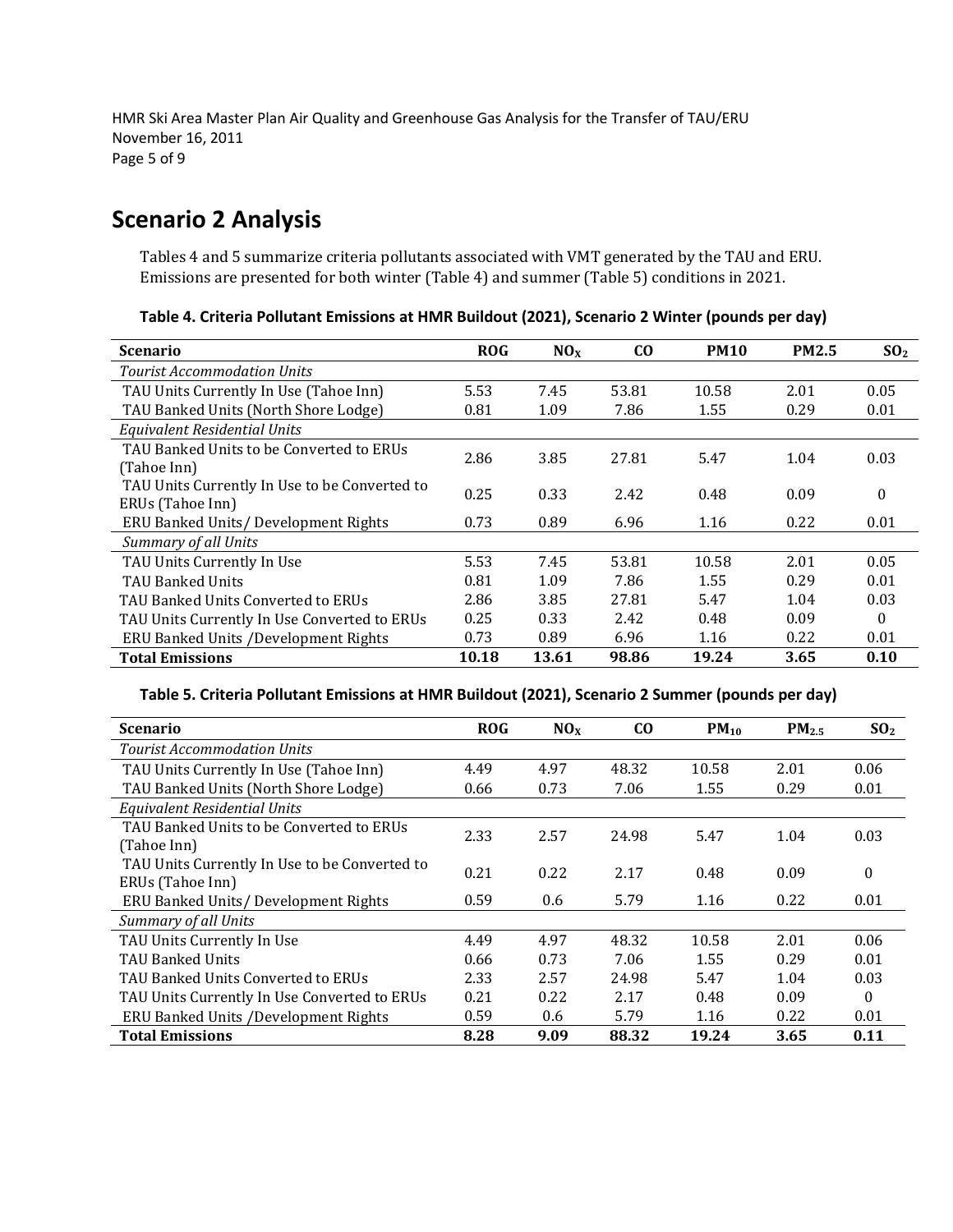HMR Ski Area Master Plan Air Quality and Greenhouse Gas Analysis for the Transfer of TAU/ERU November 16, 2011 Page 5 of 9

### **Scenario 2 Analysis**

Tables 4 and 5 summarize criteria pollutants associated with VMT generated by the TAU and ERU. Emissions are presented for both winter (Table 4) and summer (Table 5) conditions in 2021.

**Table 4. Criteria Pollutant Emissions at HMR Buildout (2021), Scenario 2 Winter (pounds per day)**

| <b>Scenario</b>                               | <b>ROG</b> | NO <sub>X</sub> | $\bf{C0}$ | <b>PM10</b> | <b>PM2.5</b> | SO <sub>2</sub>  |
|-----------------------------------------------|------------|-----------------|-----------|-------------|--------------|------------------|
| <b>Tourist Accommodation Units</b>            |            |                 |           |             |              |                  |
| TAU Units Currently In Use (Tahoe Inn)        | 5.53       | 7.45            | 53.81     | 10.58       | 2.01         | 0.05             |
| TAU Banked Units (North Shore Lodge)          | 0.81       | 1.09            | 7.86      | 1.55        | 0.29         | 0.01             |
| Equivalent Residential Units                  |            |                 |           |             |              |                  |
| TAU Banked Units to be Converted to ERUs      | 2.86       | 3.85            | 27.81     | 5.47        | 1.04         | 0.03             |
| (Tahoe Inn)                                   |            |                 |           |             |              |                  |
| TAU Units Currently In Use to be Converted to | 0.25       | 0.33            | 2.42      | 0.48        | 0.09         | $\boldsymbol{0}$ |
| ERUs (Tahoe Inn)                              |            |                 |           |             |              |                  |
| ERU Banked Units/Development Rights           | 0.73       | 0.89            | 6.96      | 1.16        | 0.22         | 0.01             |
| Summary of all Units                          |            |                 |           |             |              |                  |
| TAU Units Currently In Use                    | 5.53       | 7.45            | 53.81     | 10.58       | 2.01         | 0.05             |
| <b>TAU Banked Units</b>                       | 0.81       | 1.09            | 7.86      | 1.55        | 0.29         | 0.01             |
| TAU Banked Units Converted to ERUs            | 2.86       | 3.85            | 27.81     | 5.47        | 1.04         | 0.03             |
| TAU Units Currently In Use Converted to ERUs  | 0.25       | 0.33            | 2.42      | 0.48        | 0.09         | $\Omega$         |
| ERU Banked Units /Development Rights          | 0.73       | 0.89            | 6.96      | 1.16        | 0.22         | 0.01             |
| <b>Total Emissions</b>                        | 10.18      | 13.61           | 98.86     | 19.24       | 3.65         | 0.10             |

### **Table 5. Criteria Pollutant Emissions at HMR Buildout (2021), Scenario 2 Summer (pounds per day)**

| <b>Scenario</b>                               | <b>ROG</b> | NOx  | $c_{0}$ | $PM_{10}$ | $PM_{2.5}$ | SO <sub>2</sub> |
|-----------------------------------------------|------------|------|---------|-----------|------------|-----------------|
| <b>Tourist Accommodation Units</b>            |            |      |         |           |            |                 |
| TAU Units Currently In Use (Tahoe Inn)        | 4.49       | 4.97 | 48.32   | 10.58     | 2.01       | 0.06            |
| TAU Banked Units (North Shore Lodge)          | 0.66       | 0.73 | 7.06    | 1.55      | 0.29       | 0.01            |
| Equivalent Residential Units                  |            |      |         |           |            |                 |
| TAU Banked Units to be Converted to ERUs      | 2.33       | 2.57 | 24.98   | 5.47      | 1.04       | 0.03            |
| (Tahoe Inn)                                   |            |      |         |           |            |                 |
| TAU Units Currently In Use to be Converted to | 0.21       | 0.22 | 2.17    | 0.48      | 0.09       | $\theta$        |
| ERUs (Tahoe Inn)                              |            |      |         |           |            |                 |
| ERU Banked Units/ Development Rights          | 0.59       | 0.6  | 5.79    | 1.16      | 0.22       | 0.01            |
| <b>Summary of all Units</b>                   |            |      |         |           |            |                 |
| TAU Units Currently In Use                    | 4.49       | 4.97 | 48.32   | 10.58     | 2.01       | 0.06            |
| <b>TAU Banked Units</b>                       | 0.66       | 0.73 | 7.06    | 1.55      | 0.29       | 0.01            |
| TAU Banked Units Converted to ERUs            | 2.33       | 2.57 | 24.98   | 5.47      | 1.04       | 0.03            |
| TAU Units Currently In Use Converted to ERUs  | 0.21       | 0.22 | 2.17    | 0.48      | 0.09       | 0               |
| ERU Banked Units / Development Rights         | 0.59       | 0.6  | 5.79    | 1.16      | 0.22       | 0.01            |
| <b>Total Emissions</b>                        | 8.28       | 9.09 | 88.32   | 19.24     | 3.65       | 0.11            |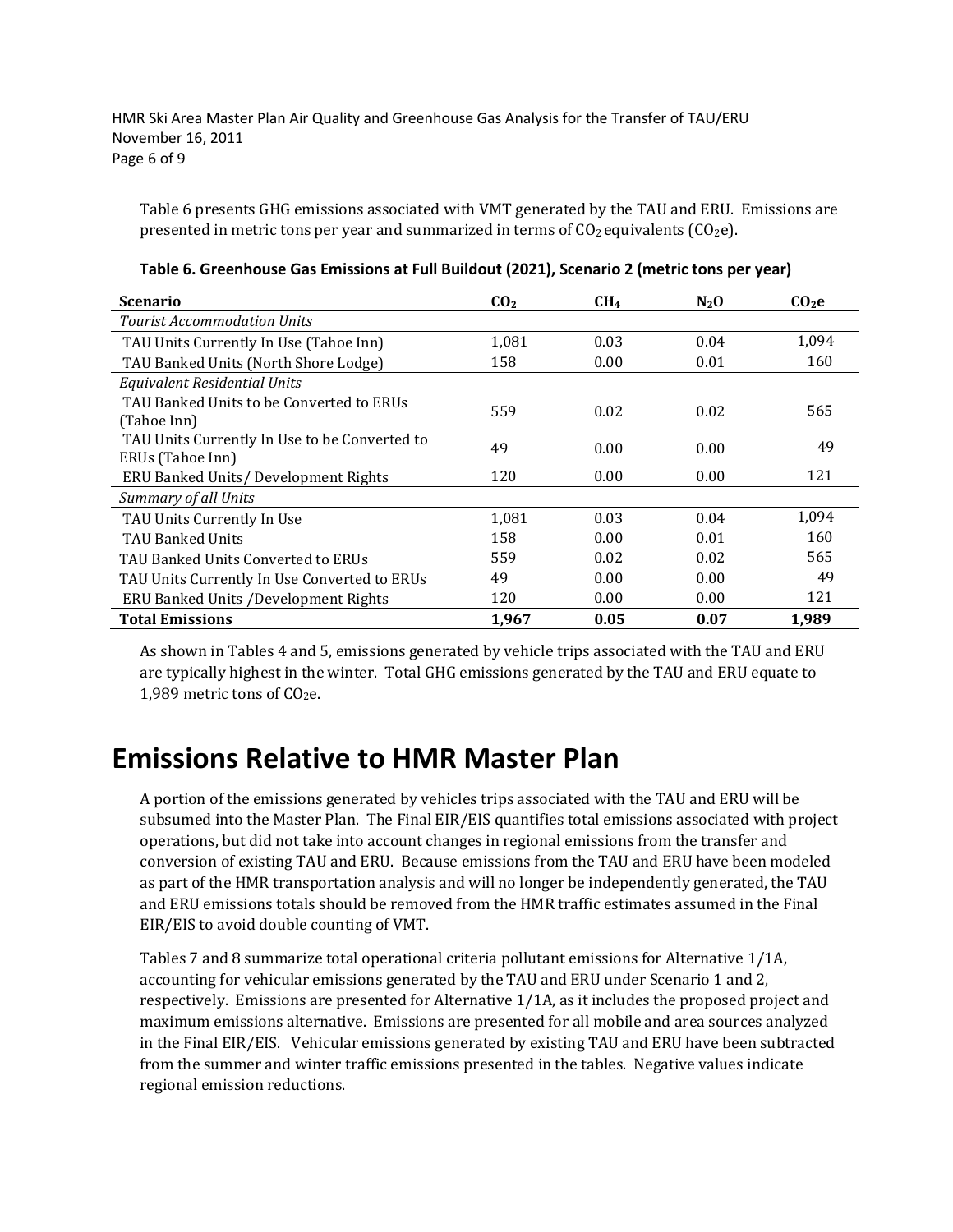HMR Ski Area Master Plan Air Quality and Greenhouse Gas Analysis for the Transfer of TAU/ERU November 16, 2011 Page 6 of 9

Table 6 presents GHG emissions associated with VMT generated by the TAU and ERU. Emissions are presented in metric tons per year and summarized in terms of  $CO<sub>2</sub>$  equivalents ( $CO<sub>2</sub>e$ ).

| <b>Scenario</b>                               | CO <sub>2</sub> | CH <sub>4</sub> | $N_2$ O | CO <sub>2</sub> e |
|-----------------------------------------------|-----------------|-----------------|---------|-------------------|
| <b>Tourist Accommodation Units</b>            |                 |                 |         |                   |
| TAU Units Currently In Use (Tahoe Inn)        | 1,081           | 0.03            | 0.04    | 1.094             |
| TAU Banked Units (North Shore Lodge)          | 158             | 0.00            | 0.01    | 160               |
| <b>Equivalent Residential Units</b>           |                 |                 |         |                   |
| TAU Banked Units to be Converted to ERUs      | 559             | 0.02            | 0.02    | 565               |
| (Tahoe Inn)                                   |                 |                 |         |                   |
| TAU Units Currently In Use to be Converted to | 49              | 0.00            | 0.00    | 49                |
| ERUs (Tahoe Inn)                              |                 |                 |         |                   |
| ERU Banked Units/Development Rights           | 120             | 0.00            | 0.00    | 121               |
| Summary of all Units                          |                 |                 |         |                   |
| TAU Units Currently In Use                    | 1,081           | 0.03            | 0.04    | 1.094             |
| <b>TAU Banked Units</b>                       | 158             | 0.00            | 0.01    | 160               |
| TAU Banked Units Converted to ERUs            | 559             | 0.02            | 0.02    | 565               |
| TAU Units Currently In Use Converted to ERUs  | 49              | 0.00            | 0.00    | 49                |
| ERU Banked Units / Development Rights         | 120             | 0.00            | 0.00    | 121               |
| <b>Total Emissions</b>                        | 1,967           | 0.05            | 0.07    | 1,989             |

**Table 6. Greenhouse Gas Emissions at Full Buildout (2021), Scenario 2 (metric tons per year)**

As shown in Tables 4 and 5, emissions generated by vehicle trips associated with the TAU and ERU are typically highest in the winter. Total GHG emissions generated by the TAU and ERU equate to 1,989 metric tons of  $CO<sub>2</sub>e$ .

# **Emissions Relative to HMR Master Plan**

A portion of the emissions generated by vehicles trips associated with the TAU and ERU will be subsumed into the Master Plan. The Final EIR/EIS quantifies total emissions associated with project operations, but did not take into account changes in regional emissions from the transfer and conversion of existing TAU and ERU. Because emissions from the TAU and ERU have been modeled as part of the HMR transportation analysis and will no longer be independently generated, the TAU and ERU emissions totals should be removed from the HMR traffic estimates assumed in the Final EIR/EIS to avoid double counting of VMT.

Tables 7 and 8 summarize total operational criteria pollutant emissions for Alternative 1/1A, accounting for vehicular emissions generated by the TAU and ERU under Scenario 1 and 2, respectively. Emissions are presented for Alternative 1/1A, as it includes the proposed project and maximum emissions alternative. Emissions are presented for all mobile and area sources analyzed in the Final EIR/EIS. Vehicular emissions generated by existing TAU and ERU have been subtracted from the summer and winter traffic emissions presented in the tables. Negative values indicate regional emission reductions.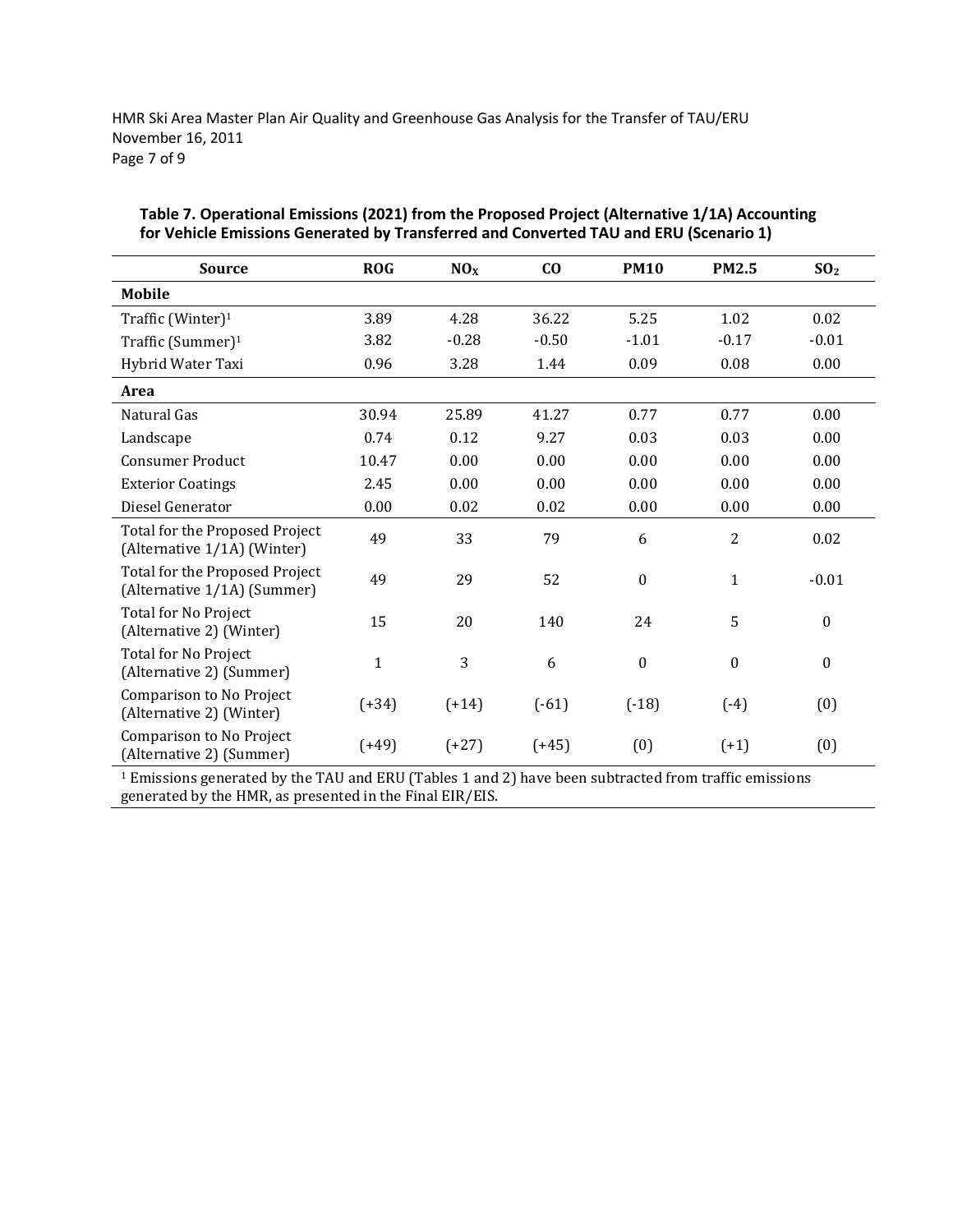HMR Ski Area Master Plan Air Quality and Greenhouse Gas Analysis for the Transfer of TAU/ERU November 16, 2011 Page 7 of 9

| <b>Source</b>                                                 | <b>ROG</b>   | NO <sub>X</sub> | $\bf{C0}$ | <b>PM10</b>      | <b>PM2.5</b>     | SO <sub>2</sub>  |
|---------------------------------------------------------------|--------------|-----------------|-----------|------------------|------------------|------------------|
| <b>Mobile</b>                                                 |              |                 |           |                  |                  |                  |
| Traffic (Winter) <sup>1</sup>                                 | 3.89         | 4.28            | 36.22     | 5.25             | 1.02             | 0.02             |
| Traffic (Summer) <sup>1</sup>                                 | 3.82         | $-0.28$         | $-0.50$   | $-1.01$          | $-0.17$          | $-0.01$          |
| Hybrid Water Taxi                                             | 0.96         | 3.28            | 1.44      | 0.09             | 0.08             | 0.00             |
| Area                                                          |              |                 |           |                  |                  |                  |
| Natural Gas                                                   | 30.94        | 25.89           | 41.27     | 0.77             | 0.77             | 0.00             |
| Landscape                                                     | 0.74         | 0.12            | 9.27      | 0.03             | 0.03             | 0.00             |
| <b>Consumer Product</b>                                       | 10.47        | 0.00            | 0.00      | 0.00             | 0.00             | 0.00             |
| <b>Exterior Coatings</b>                                      | 2.45         | 0.00            | 0.00      | 0.00             | 0.00             | 0.00             |
| Diesel Generator                                              | 0.00         | 0.02            | 0.02      | 0.00             | 0.00             | 0.00             |
| Total for the Proposed Project<br>(Alternative 1/1A) (Winter) | 49           | 33              | 79        | 6                | $\overline{2}$   | 0.02             |
| Total for the Proposed Project<br>(Alternative 1/1A) (Summer) | 49           | 29              | 52        | $\boldsymbol{0}$ | $\mathbf{1}$     | $-0.01$          |
| <b>Total for No Project</b><br>(Alternative 2) (Winter)       | 15           | 20              | 140       | 24               | 5                | $\boldsymbol{0}$ |
| <b>Total for No Project</b><br>(Alternative 2) (Summer)       | $\mathbf{1}$ | 3               | 6         | $\boldsymbol{0}$ | $\boldsymbol{0}$ | $\boldsymbol{0}$ |
| Comparison to No Project<br>(Alternative 2) (Winter)          | $(+34)$      | $(+14)$         | $(-61)$   | $(-18)$          | $(-4)$           | (0)              |
| Comparison to No Project<br>(Alternative 2) (Summer)          | $(+49)$      | $(+27)$         | $(+45)$   | (0)              | $(+1)$           | (0)              |

#### **Table 7. Operational Emissions (2021) from the Proposed Project (Alternative 1/1A) Accounting for Vehicle Emissions Generated by Transferred and Converted TAU and ERU (Scenario 1)**

<sup>1</sup> Emissions generated by the TAU and ERU (Tables 1 and 2) have been subtracted from traffic emissions generated by the HMR, as presented in the Final EIR/EIS.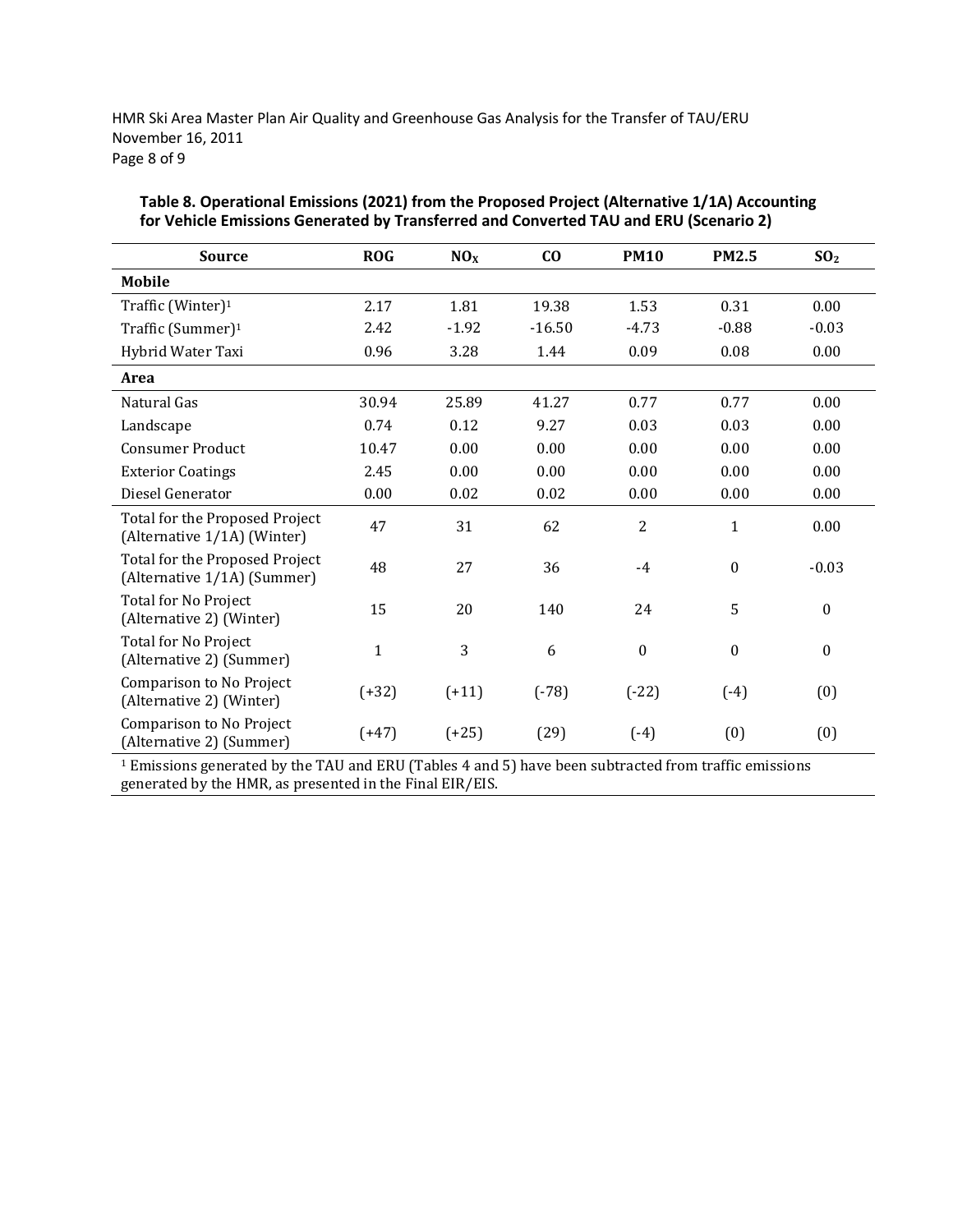HMR Ski Area Master Plan Air Quality and Greenhouse Gas Analysis for the Transfer of TAU/ERU November 16, 2011 Page 8 of 9

| <b>Source</b>                                                 | <b>ROG</b>   | NO <sub>X</sub> | C <sub>0</sub> | <b>PM10</b>      | <b>PM2.5</b>     | SO <sub>2</sub>  |
|---------------------------------------------------------------|--------------|-----------------|----------------|------------------|------------------|------------------|
| <b>Mobile</b>                                                 |              |                 |                |                  |                  |                  |
| Traffic (Winter) <sup>1</sup>                                 | 2.17         | 1.81            | 19.38          | 1.53             | 0.31             | 0.00             |
| Traffic (Summer) <sup>1</sup>                                 | 2.42         | $-1.92$         | $-16.50$       | $-4.73$          | $-0.88$          | $-0.03$          |
| Hybrid Water Taxi                                             | 0.96         | 3.28            | 1.44           | 0.09             | 0.08             | 0.00             |
| Area                                                          |              |                 |                |                  |                  |                  |
| Natural Gas                                                   | 30.94        | 25.89           | 41.27          | 0.77             | 0.77             | 0.00             |
| Landscape                                                     | 0.74         | 0.12            | 9.27           | 0.03             | 0.03             | 0.00             |
| <b>Consumer Product</b>                                       | 10.47        | 0.00            | 0.00           | 0.00             | 0.00             | 0.00             |
| <b>Exterior Coatings</b>                                      | 2.45         | 0.00            | 0.00           | 0.00             | 0.00             | 0.00             |
| Diesel Generator                                              | 0.00         | 0.02            | 0.02           | 0.00             | 0.00             | 0.00             |
| Total for the Proposed Project<br>(Alternative 1/1A) (Winter) | 47           | 31              | 62             | $\overline{2}$   | $\mathbf{1}$     | 0.00             |
| Total for the Proposed Project<br>(Alternative 1/1A) (Summer) | 48           | 27              | 36             | $-4$             | $\boldsymbol{0}$ | $-0.03$          |
| Total for No Project<br>(Alternative 2) (Winter)              | 15           | 20              | 140            | 24               | 5                | $\boldsymbol{0}$ |
| Total for No Project<br>(Alternative 2) (Summer)              | $\mathbf{1}$ | 3               | 6              | $\boldsymbol{0}$ | $\boldsymbol{0}$ | $\boldsymbol{0}$ |
| Comparison to No Project<br>(Alternative 2) (Winter)          | $(+32)$      | $(+11)$         | $(-78)$        | $(-22)$          | $(-4)$           | (0)              |
| Comparison to No Project<br>(Alternative 2) (Summer)          | $(+47)$      | $(+25)$         | (29)           | $(-4)$           | (0)              | (0)              |

### **Table 8. Operational Emissions (2021) from the Proposed Project (Alternative 1/1A) Accounting for Vehicle Emissions Generated by Transferred and Converted TAU and ERU (Scenario 2)**

<sup>1</sup> Emissions generated by the TAU and ERU (Tables 4 and 5) have been subtracted from traffic emissions generated by the HMR, as presented in the Final EIR/EIS.